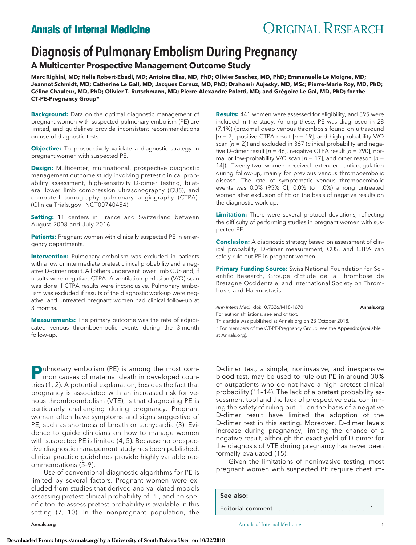# **Annals of Internal Medicine ORIGINAL RESEARCH**

# Diagnosis of Pulmonary Embolism During Pregnancy

**A Multicenter Prospective Management Outcome Study**

**Marc Righini, MD; Helia Robert-Ebadi, MD; Antoine Elias, MD, PhD; Olivier Sanchez, MD, PhD; Emmanuelle Le Moigne, MD; Jeannot Schmidt, MD; Catherine Le Gall, MD; Jacques Cornuz, MD, PhD; Drahomir Aujesky, MD, MSc; Pierre-Marie Roy, MD, PhD;** Céline Chauleur, MD, PhD; Olivier T. Rutschmann, MD; Pierre-Alexandre Poletti, MD; and Grégoire Le Gal, MD, PhD; for the **CT-PE-Pregnancy Group\***

**Background:** Data on the optimal diagnostic management of pregnant women with suspected pulmonary embolism (PE) are limited, and guidelines provide inconsistent recommendations on use of diagnostic tests.

**Objective:** To prospectively validate a diagnostic strategy in pregnant women with suspected PE.

**Design:** Multicenter, multinational, prospective diagnostic management outcome study involving pretest clinical probability assessment, high-sensitivity D-dimer testing, bilateral lower limb compression ultrasonography (CUS), and computed tomography pulmonary angiography (CTPA). (ClinicalTrials.gov: NCT00740454)

**Setting:** 11 centers in France and Switzerland between August 2008 and July 2016.

**Patients:** Pregnant women with clinically suspected PE in emergency departments.

**Intervention:** Pulmonary embolism was excluded in patients with a low or intermediate pretest clinical probability and a negative D-dimer result. All others underwent lower limb CUS and, if results were negative, CTPA. A ventilation–perfusion (V/Q) scan was done if CTPA results were inconclusive. Pulmonary embolism was excluded if results of the diagnostic work-up were negative, and untreated pregnant women had clinical follow-up at 3 months.

**Measurements:** The primary outcome was the rate of adjudicated venous thromboembolic events during the 3-month follow-up.

**Results:** 441 women were assessed for eligibility, and 395 were included in the study. Among these, PE was diagnosed in 28 (7.1%) (proximal deep venous thrombosis found on ultrasound [ $n = 7$ ], positive CTPA result [ $n = 19$ ], and high-probability V/Q scan  $[n = 2]$ ) and excluded in 367 (clinical probability and negative D-dimer result  $[n = 46]$ , negative CTPA result  $[n = 290]$ , normal or low-probability V/Q scan [ $n = 17$ ], and other reason [ $n =$ 14]). Twenty-two women received extended anticoagulation during follow-up, mainly for previous venous thromboembolic disease. The rate of symptomatic venous thromboembolic events was 0.0% (95% CI, 0.0% to 1.0%) among untreated women after exclusion of PE on the basis of negative results on the diagnostic work-up.

**Limitation:** There were several protocol deviations, reflecting the difficulty of performing studies in pregnant women with suspected PE.

**Conclusion:** A diagnostic strategy based on assessment of clinical probability, D-dimer measurement, CUS, and CTPA can safely rule out PE in pregnant women.

**Primary Funding Source:** Swiss National Foundation for Scientific Research, Groupe d'Etude de la Thrombose de Bretagne Occidentale, and International Society on Thrombosis and Haemostasis.

Ann Intern Med. doi:10.7326/M18-1670 [Annals.org](http://www.annals.org) For author affiliations, see end of text. This article was published at [Annals.org](http://www.annals.org) on 23 October 2018. \* For members of the CT-PE-Pregnancy Group, see the Appendix (available at [Annals.org\)](http://www.annals.org).

**P**ulmonary embolism (PE) is among the most common causes of maternal death in developed countries (1, 2). A potential explanation, besides the fact that pregnancy is associated with an increased risk for venous thromboembolism (VTE), is that diagnosing PE is particularly challenging during pregnancy. Pregnant women often have symptoms and signs suggestive of PE, such as shortness of breath or tachycardia (3). Evidence to guide clinicians on how to manage women with suspected PE is limited (4, 5). Because no prospective diagnostic management study has been published, clinical practice guidelines provide highly variable recommendations (5–9).

Use of conventional diagnostic algorithms for PE is limited by several factors. Pregnant women were excluded from studies that derived and validated models assessing pretest clinical probability of PE, and no specific tool to assess pretest probability is available in this setting (7, 10). In the nonpregnant population, the

D-dimer test, a simple, noninvasive, and inexpensive blood test, may be used to rule out PE in around 30% of outpatients who do not have a high pretest clinical probability (11–14). The lack of a pretest probability assessment tool and the lack of prospective data confirming the safety of ruling out PE on the basis of a negative D-dimer result have limited the adoption of the D-dimer test in this setting. Moreover, D-dimer levels increase during pregnancy, limiting the chance of a negative result, although the exact yield of D-dimer for the diagnosis of VTE during pregnancy has never been formally evaluated (15).

Given the limitations of noninvasive testing, most pregnant women with suspected PE require chest im-

See also:

Editorial comment ...........................1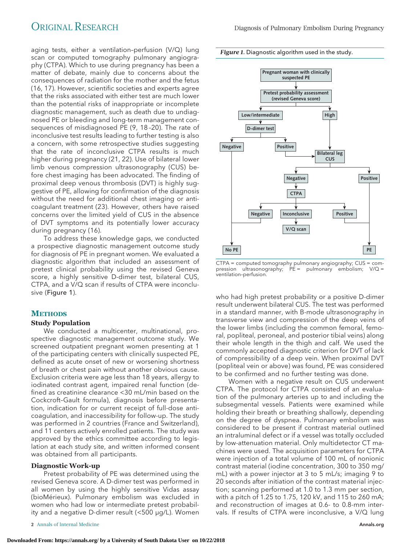*Figure 1.* Diagnostic algorithm used in the study.



To address these knowledge gaps, we conducted a prospective diagnostic management outcome study for diagnosis of PE in pregnant women. We evaluated a diagnostic algorithm that included an assessment of pretest clinical probability using the revised Geneva score, a highly sensitive D-dimer test, bilateral CUS, CTPA, and a V/Q scan if results of CTPA were inconclusive (Figure 1).

# **METHODS**

# **Study Population**

We conducted a multicenter, multinational, prospective diagnostic management outcome study. We screened outpatient pregnant women presenting at 1 of the participating centers with clinically suspected PE, defined as acute onset of new or worsening shortness of breath or chest pain without another obvious cause. Exclusion criteria were age less than 18 years, allergy to iodinated contrast agent, impaired renal function (defined as creatinine clearance <30 mL/min based on the Cockcroft–Gault formula), diagnosis before presentation, indication for or current receipt of full-dose anticoagulation, and inaccessibility for follow-up. The study was performed in 2 countries (France and Switzerland), and 11 centers actively enrolled patients. The study was approved by the ethics committee according to legislation at each study site, and written informed consent was obtained from all participants.

#### **Diagnostic Work-up**

Pretest probability of PE was determined using the revised Geneva score. A D-dimer test was performed in all women by using the highly sensitive Vidas assay (bioMérieux). Pulmonary embolism was excluded in women who had low or intermediate pretest probability and a negative D-dimer result (<500 μg/L). Women

**2** Annals of Internal Medicine **[Annals.org](http://www.annals.org) 2** Annals.org **2** Annals.org **2** Annals.org **2** Annals.org **2** Annals.org **2** Annals.org **2** Annals.org **2** Annals.org **2** Annals.org **2** Annals.org **2** Annals.org **2** Annals.o



CTPA = computed tomography pulmonary angiography; CUS = compression ultrasonography; PE = pulmonary embolism; V/Q = ventilation–perfusion.

who had high pretest probability or a positive D-dimer result underwent bilateral CUS. The test was performed in a standard manner, with B-mode ultrasonography in transverse view and compression of the deep veins of the lower limbs (including the common femoral, femoral, popliteal, peroneal, and posterior tibial veins) along their whole length in the thigh and calf. We used the commonly accepted diagnostic criterion for DVT of lack of compressibility of a deep vein. When proximal DVT (popliteal vein or above) was found, PE was considered to be confirmed and no further testing was done.

Women with a negative result on CUS underwent CTPA. The protocol for CTPA consisted of an evaluation of the pulmonary arteries up to and including the subsegmental vessels. Patients were examined while holding their breath or breathing shallowly, depending on the degree of dyspnea. Pulmonary embolism was considered to be present if contrast material outlined an intraluminal defect or if a vessel was totally occluded by low-attenuation material. Only multidetector CT machines were used. The acquisition parameters for CTPA were injection of a total volume of 100 mL of nonionic contrast material (iodine concentration, 300 to 350 mg/ mL) with a power injector at 3 to 5 mL/s; imaging 9 to 20 seconds after initiation of the contrast material injection; scanning performed at 1.0 to 1.3 mm per section, with a pitch of 1.25 to 1.75, 120 kV, and 115 to 260 mA; and reconstruction of images at 0.6- to 0.8-mm intervals. If results of CTPA were inconclusive, a V/Q lung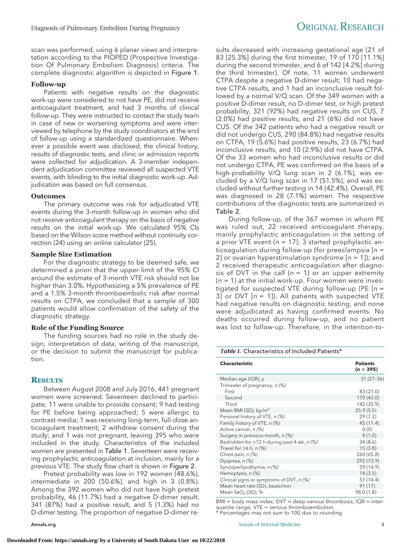scan was performed, using 6 planar views and interpretation according to the PIOPED (Prospective Investigation Of Pulmonary Embolism Diagnosis) criteria. The complete diagnostic algorithm is depicted in Figure 1.

# **Follow-up**

Patients with negative results on the diagnostic work-up were considered to not have PE, did not receive anticoagulant treatment, and had 3 months of clinical follow-up. They were instructed to contact the study team in case of new or worsening symptoms and were interviewed by telephone by the study coordinators at the end of follow-up using a standardized questionnaire. Whenever a possible event was disclosed, the clinical history, results of diagnostic tests, and clinic or admission reports were collected for adjudication. A 3-member independent adjudication committee reviewed all suspected VTE events, with blinding to the initial diagnostic work-up. Adjudication was based on full consensus.

## **Outcomes**

The primary outcome was risk for adjudicated VTE events during the 3-month follow-up in women who did not receive anticoagulant therapy on the basis of negative results on the initial work-up. We calculated 95% CIs based on the Wilson score method without continuity correction (24) using an online calculator (25).

# **Sample Size Estimation**

For the diagnostic strategy to be deemed safe, we determined a priori that the upper limit of the 95% CI around the estimate of 3-month VTE risk should not be higher than 3.0%. Hypothesizing a 5% prevalence of PE and a 1.5% 3-month thromboembolic risk after normal results on CTPA, we concluded that a sample of 300 patients would allow confirmation of the safety of the diagnostic strategy.

## **Role of the Funding Source**

The funding sources had no role in the study design, interpretation of data, writing of the manuscript, or the decision to submit the manuscript for publication.

# **RESULTS**

Between August 2008 and July 2016, 441 pregnant women were screened. Seventeen declined to participate; 11 were unable to provide consent; 9 had testing for PE before being approached; 5 were allergic to contrast media; 1 was receiving long-term, full-dose anticoagulant treatment; 2 withdrew consent during the study; and 1 was not pregnant, leaving 395 who were included in the study. Characteristics of the included women are presented in Table 1. Seventeen were receiving prophylactic anticoagulation at inclusion, mainly for a previous VTE. The study flow chart is shown in Figure 2.

Pretest probability was low in 192 women (48.6%), intermediate in 200 (50.6%), and high in 3 (0.8%). Among the 392 women who did not have high pretest probability, 46 (11.7%) had a negative D-dimer result, 341 (87%) had a positive result, and 5 (1.3%) had no D-dimer testing. The proportion of negative D-dimer re-

sults decreased with increasing gestational age (21 of 83 [25.3%] during the first trimester, 19 of 170 [11.1%] during the second trimester, and 6 of 142 [4.2%] during the third trimester). Of note, 11 women underwent CTPA despite a negative D-dimer result; 10 had negative CTPA results, and 1 had an inconclusive result followed by a normal V/Q scan. Of the 349 women with a positive D-dimer result, no D-dimer test, or high pretest probability, 321 (92%) had negative results on CUS, 7 (2.0%) had positive results, and 21 (6%) did not have CUS. Of the 342 patients who had a negative result or did not undergo CUS, 290 (84.8%) had negative results on CTPA, 19 (5.6%) had positive results, 23 (6.7%) had inconclusive results, and 10 (2.9%) did not have CTPA. Of the 33 women who had inconclusive results or did not undergo CTPA, PE was confirmed on the basis of a high-probability V/Q lung scan in 2 (6.1%), was excluded by a V/Q lung scan in 17 (51.5%), and was excluded without further testing in 14 (42.4%). Overall, PE was diagnosed in 28 (7.1%) women. The respective contributions of the diagnostic tests are summarized in Table 2.

During follow-up, of the 367 women in whom PE was ruled out, 22 received anticoagulant therapy, mainly prophylactic anticoagulation in the setting of a prior VTE event ( $n = 17$ ); 3 started prophylactic anticoagulation during follow-up (for preeclampsia  $[n =$ 2] or ovarian hyperstimulation syndrome  $[n = 1]$ ; and 2 received therapeutic anticoagulation after diagnosis of DVT in the calf ( $n = 1$ ) or an upper extremity  $(n = 1)$  at the initial work-up. Four women were investigated for suspected VTE during follow-up (PE  $[n =$ 3] or DVT  $[n = 1]$ ). All patients with suspected VTE had negative results on diagnostic testing, and none were adjudicated as having confirmed events. No deaths occurred during follow-up, and no patient was lost to follow-up. Therefore, in the intention-to-

| Table 1. Characteristics of Included Patients* |  |
|------------------------------------------------|--|
|------------------------------------------------|--|

| <b>Characteristic</b>                       | <b>Patients</b><br>$(n = 395)$ |
|---------------------------------------------|--------------------------------|
| Median age (IQR), y                         | $31(27-36)$                    |
| Trimester of pregnancy, n (%)               |                                |
| First                                       | 83 (21.0)                      |
| Second                                      | 170 (43.0)                     |
| Third                                       | 142 (35.9)                     |
| Mean BMI (SD), $kq/m^2$                     | 25.9(5.5)                      |
| Personal history of VTE, n (%)              | 29(7.3)                        |
| Family history of VTE, n (%)                | 45 (11.4)                      |
| Active cancer, n (%)                        | 0(0)                           |
| Surgery in previous month, n (%)            | 4(1.0)                         |
| Bedridden for >72 h during past 4 wk, n (%) | 34(8.6)                        |
| Travel for $>6$ h, n (%)                    | 15(3.8)                        |
| Chest pain, n (%)                           | 260 (65.8)                     |
| Dyspnea, n (%)                              | 292 (73.9)                     |
| Syncope/lipothymia, n (%)                   | 59 (14.9)                      |
| Hemoptysis, n (%)                           | 14(3.5)                        |
| Clinical signs or symptoms of DVT, n (%)    | 57 (14.4)                      |
| Mean heart rate (SD), beats/min             | 91 (17)                        |
| Mean $SaO2$ (SD), %                         | 98.0 (1.8)                     |

BMI = body mass index; DVT = deep venous thrombosis; IQR = interquartile range; VTE = venous thromboembolism.  $\frac{1}{2}$  Percentages may not sum to 100 due to rounding.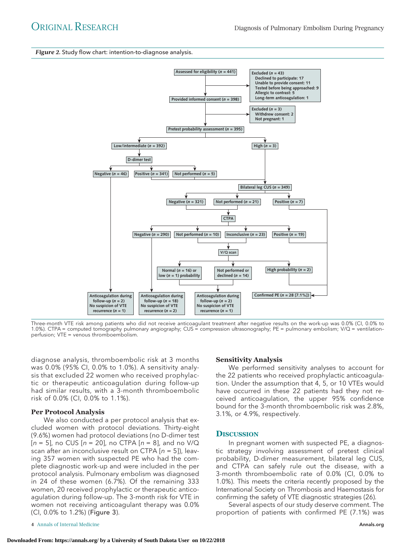#### *Figure 2.* Study flow chart: intention-to-diagnose analysis.



Three-month VTE risk among patients who did not receive anticoagulant treatment after negative results on the work-up was 0.0% (CI, 0.0% to 1.0%). CTPA = computed tomography pulmonary angiography; CUS = compression ultrasonography; PE = pulmonary embolism; V/Q = ventilation– perfusion; VTE = venous thromboembolism.

diagnose analysis, thromboembolic risk at 3 months was 0.0% (95% CI, 0.0% to 1.0%). A sensitivity analysis that excluded 22 women who received prophylactic or therapeutic anticoagulation during follow-up had similar results, with a 3-month thromboembolic risk of 0.0% (CI, 0.0% to 1.1%).

## **Per Protocol Analysis**

We also conducted a per protocol analysis that excluded women with protocol deviations. Thirty-eight (9.6%) women had protocol deviations (no D-dimer test  $[n = 5]$ , no CUS  $[n = 20]$ , no CTPA  $[n = 8]$ , and no V/Q scan after an inconclusive result on CTPA  $[n = 5]$ ), leaving 357 women with suspected PE who had the complete diagnostic work-up and were included in the per protocol analysis. Pulmonary embolism was diagnosed in 24 of these women (6.7%). Of the remaining 333 women, 20 received prophylactic or therapeutic anticoagulation during follow-up. The 3-month risk for VTE in women not receiving anticoagulant therapy was 0.0% (CI, 0.0% to 1.2%) (Figure 3).

#### **4** Annals of Internal Medicine **[Annals.org](http://www.annals.org) Annals.org Annals.org Annals.org**

## **Sensitivity Analysis**

We performed sensitivity analyses to account for the 22 patients who received prophylactic anticoagulation. Under the assumption that 4, 5, or 10 VTEs would have occurred in these 22 patients had they not received anticoagulation, the upper 95% confidence bound for the 3-month thromboembolic risk was 2.8%, 3.1%, or 4.9%, respectively.

# **DISCUSSION**

In pregnant women with suspected PE, a diagnostic strategy involving assessment of pretest clinical probability, D-dimer measurement, bilateral leg CUS, and CTPA can safely rule out the disease, with a 3-month thromboembolic rate of 0.0% (CI, 0.0% to 1.0%). This meets the criteria recently proposed by the International Society on Thrombosis and Haemostasis for confirming the safety of VTE diagnostic strategies (26).

Several aspects of our study deserve comment. The proportion of patients with confirmed PE (7.1%) was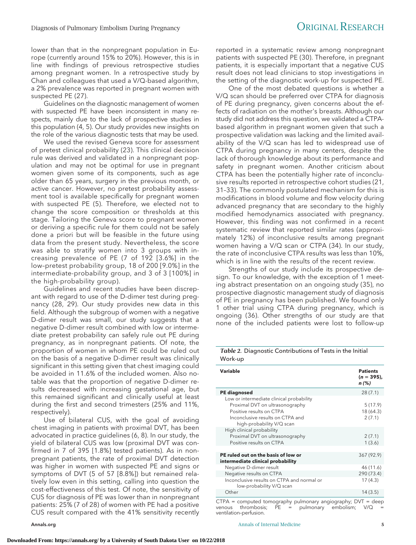lower than that in the nonpregnant population in Europe (currently around 15% to 20%). However, this is in line with findings of previous retrospective studies among pregnant women. In a retrospective study by Chan and colleagues that used a V/Q-based algorithm, a 2% prevalence was reported in pregnant women with suspected PE (27).

Guidelines on the diagnostic management of women with suspected PE have been inconsistent in many respects, mainly due to the lack of prospective studies in this population (4, 5). Our study provides new insights on the role of the various diagnostic tests that may be used.

We used the revised Geneva score for assessment of pretest clinical probability (23). This clinical decision rule was derived and validated in a nonpregnant population and may not be optimal for use in pregnant women given some of its components, such as age older than 65 years, surgery in the previous month, or active cancer. However, no pretest probability assessment tool is available specifically for pregnant women with suspected PE (5). Therefore, we elected not to change the score composition or thresholds at this stage. Tailoring the Geneva score to pregnant women or deriving a specific rule for them could not be safely done a priori but will be feasible in the future using data from the present study. Nevertheless, the score was able to stratify women into 3 groups with increasing prevalence of PE (7 of 192 [3.6%] in the low–pretest probability group, 18 of 200 [9.0%] in the intermediate-probability group, and 3 of 3 [100%] in the high-probability group).

Guidelines and recent studies have been discrepant with regard to use of the D-dimer test during pregnancy (28, 29). Our study provides new data in this field. Although the subgroup of women with a negative D-dimer result was small, our study suggests that a negative D-dimer result combined with low or intermediate pretest probability can safely rule out PE during pregnancy, as in nonpregnant patients. Of note, the proportion of women in whom PE could be ruled out on the basis of a negative D-dimer result was clinically significant in this setting given that chest imaging could be avoided in 11.6% of the included women. Also notable was that the proportion of negative D-dimer results decreased with increasing gestational age, but this remained significant and clinically useful at least during the first and second trimesters (25% and 11%, respectively).

Use of bilateral CUS, with the goal of avoiding chest imaging in patients with proximal DVT, has been advocated in practice guidelines (6, 8). In our study, the yield of bilateral CUS was low (proximal DVT was confirmed in 7 of 395 [1.8%] tested patients). As in nonpregnant patients, the rate of proximal DVT detection was higher in women with suspected PE and signs or symptoms of DVT (5 of 57 [8.8%]) but remained relatively low even in this setting, calling into question the cost-effectiveness of this test. Of note, the sensitivity of CUS for diagnosis of PE was lower than in nonpregnant patients: 25% (7 of 28) of women with PE had a positive CUS result compared with the 41% sensitivity recently

reported in a systematic review among nonpregnant patients with suspected PE (30). Therefore, in pregnant patients, it is especially important that a negative CUS result does not lead clinicians to stop investigations in the setting of the diagnostic work-up for suspected PE.

One of the most debated questions is whether a V/Q scan should be preferred over CTPA for diagnosis of PE during pregnancy, given concerns about the effects of radiation on the mother's breasts. Although our study did not address this question, we validated a CTPAbased algorithm in pregnant women given that such a prospective validation was lacking and the limited availability of the V/Q scan has led to widespread use of CTPA during pregnancy in many centers, despite the lack of thorough knowledge about its performance and safety in pregnant women. Another criticism about CTPA has been the potentially higher rate of inconclusive results reported in retrospective cohort studies (21, 31–33). The commonly postulated mechanism for this is modifications in blood volume and flow velocity during advanced pregnancy that are secondary to the highly modified hemodynamics associated with pregnancy. However, this finding was not confirmed in a recent systematic review that reported similar rates (approximately 12%) of inconclusive results among pregnant women having a V/Q scan or CTPA (34). In our study, the rate of inconclusive CTPA results was less than 10%, which is in line with the results of the recent review.

Strengths of our study include its prospective design. To our knowledge, with the exception of 1 meeting abstract presentation on an ongoing study (35), no prospective diagnostic management study of diagnosis of PE in pregnancy has been published. We found only 1 other trial using CTPA during pregnancy, which is ongoing (36). Other strengths of our study are that none of the included patients were lost to follow-up

*Table 2.* Diagnostic Contributions of Tests in the Initial Work-up

| Variable                                                                                                                                                                 | <b>Patients</b><br>$(n = 395)$ ,<br>$n$ (%) |
|--------------------------------------------------------------------------------------------------------------------------------------------------------------------------|---------------------------------------------|
| <b>PE diagnosed</b>                                                                                                                                                      | 28(7.1)                                     |
| Low or intermediate clinical probability<br>Proximal DVT on ultrasonography<br>Positive results on CTPA<br>Inconclusive results on CTPA and<br>high-probability V/Q scan | 5(17.9)<br>18 (64.3)<br>2(7.1)              |
| High clinical probability<br>Proximal DVT on ultrasonography<br>Positive results on CTPA                                                                                 | 2(7.1)<br>1(3.6)                            |
| PE ruled out on the basis of low or<br>intermediate clinical probability                                                                                                 | 367 (92.9)                                  |
| Negative D-dimer result                                                                                                                                                  | 46 (11.6)                                   |
| Negative results on CTPA                                                                                                                                                 | 290 (73.4)                                  |
| Inconclusive results on CTPA and normal or<br>low-probability V/Q scan                                                                                                   | 17(4.3)                                     |
| Other                                                                                                                                                                    | 14(3.5)                                     |
|                                                                                                                                                                          |                                             |

CTPA = computed tomography pulmonary angiography; DVT = deep<br>venous thrombosis;  $PE =$  pulmonary embolism;  $V/Q =$ venous thrombosis;  $\widetilde{PE}$  = pulmonary ventilation–perfusion.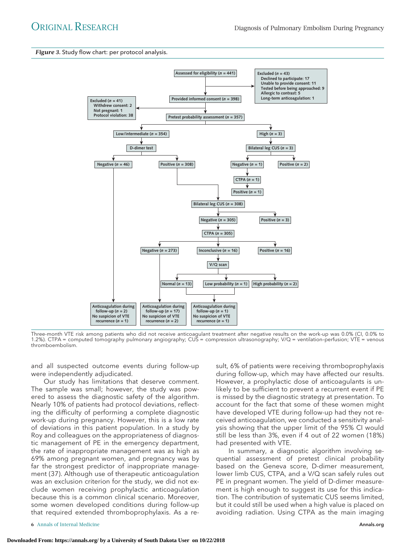*Figure 3.* Study flow chart: per protocol analysis.



Three-month VTE risk among patients who did not receive anticoagulant treatment after negative results on the work-up was 0.0% (CI, 0.0% to 1.2%). CTPA = computed tomography pulmonary angiography; CUS = compression ultrasonography; V/Q = ventilation–perfusion; VTE = venous thromboembolism.

and all suspected outcome events during follow-up were independently adjudicated.

Our study has limitations that deserve comment. The sample was small; however, the study was powered to assess the diagnostic safety of the algorithm. Nearly 10% of patients had protocol deviations, reflecting the difficulty of performing a complete diagnostic work-up during pregnancy. However, this is a low rate of deviations in this patient population. In a study by Roy and colleagues on the appropriateness of diagnostic management of PE in the emergency department, the rate of inappropriate management was as high as 69% among pregnant women, and pregnancy was by far the strongest predictor of inappropriate management (37). Although use of therapeutic anticoagulation was an exclusion criterion for the study, we did not exclude women receiving prophylactic anticoagulation because this is a common clinical scenario. Moreover, some women developed conditions during follow-up that required extended thromboprophylaxis. As a re-

**6** Annals of Internal Medicine **[Annals.org](http://www.annals.org) 6** Annals.org **6** Annals.org **6** Annals.org **6** Annals.org **6** Annals.org **6** Annals.org **6** Annals.org **6** Annals.org **6** Annals.org **6** Annals.org **6** Annals.org **6** Annals.o

sult, 6% of patients were receiving thromboprophylaxis during follow-up, which may have affected our results. However, a prophylactic dose of anticoagulants is unlikely to be sufficient to prevent a recurrent event if PE is missed by the diagnostic strategy at presentation. To account for the fact that some of these women might have developed VTE during follow-up had they not received anticoagulation, we conducted a sensitivity analysis showing that the upper limit of the 95% CI would still be less than 3%, even if 4 out of 22 women (18%) had presented with VTE.

In summary, a diagnostic algorithm involving sequential assessment of pretest clinical probability based on the Geneva score, D-dimer measurement, lower limb CUS, CTPA, and a V/Q scan safely rules out PE in pregnant women. The yield of D-dimer measurement is high enough to suggest its use for this indication. The contribution of systematic CUS seems limited, but it could still be used when a high value is placed on avoiding radiation. Using CTPA as the main imaging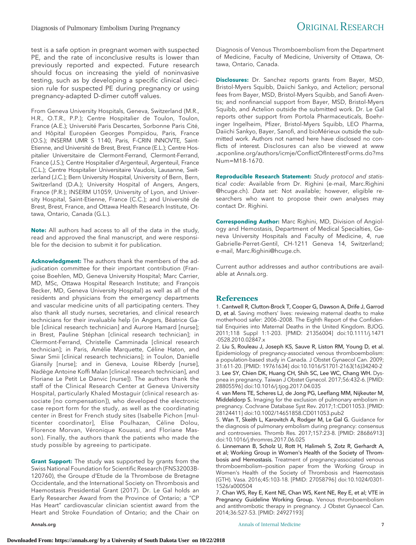test is a safe option in pregnant women with suspected PE, and the rate of inconclusive results is lower than previously reported and expected. Future research should focus on increasing the yield of noninvasive testing, such as by developing a specific clinical decision rule for suspected PE during pregnancy or using pregnancy-adapted D-dimer cutoff values.

From Geneva University Hospitals, Geneva, Switzerland (M.R., H.R., O.T.R., P.P.); Centre Hospitalier de Toulon, Toulon, France (A.E.); Université Paris Descartes, Sorbonne Paris Cité, and Hôpital Européen Georges Pompidou, Paris, France (O.S.); INSERM UMR S 1140, Paris, F-CRIN INNOVTE, Saint-Etienne, and Université de Brest, Brest, France (E.L.); Centre Hospitalier Universitaire de Clermont-Ferrand, Clermont-Ferrand, France (J.S.); Centre Hospitalier d'Argenteuil, Argenteuil, France (C.L.); Centre Hospitalier Universitaire Vaudois, Lausanne, Switzerland (J.C.); Bern University Hospital, University of Bern, Bern, Switzerland (D.A.); University Hospital of Angers, Angers, France (P.R.); INSERM U1059, University of Lyon, and University Hospital, Saint-Etienne, France (C.C.); and Université de Brest, Brest, France, and Ottawa Health Research Institute, Ottawa, Ontario, Canada (G.L.).

**Note:** All authors had access to all of the data in the study, read and approved the final manuscript, and were responsible for the decision to submit it for publication.

**Acknowledgment:** The authors thank the members of the adjudication committee for their important contribution (Françoise Boehlen, MD, Geneva University Hospital; Marc Carrier, MD, MSc, Ottawa Hospital Research Institute; and Francois Becker, MD, Geneva University Hospital) as well as all of the residents and physicians from the emergency departments and vascular medicine units of all participating centers. They also thank all study nurses, secretaries, and clinical research technicians for their invaluable help (in Angers, Béatrice Gable [clinical research technician] and Aurore Hamard [nurse]; in Brest, Pauline Stéphan [clinical research technician]; in Clermont-Ferrand, Christelle Camminada [clinical research technician]; in Paris, Amélie Marquette, Céline Haton, and Siwar Smii [clinical research technicians]; in Toulon, Danielle Giansily [nurse]; and in Geneva, Louise Riberdy [nurse], Nadège Antoine Koffi Malan [clinical research technician], and Floriane Le Petit Le Danvic [nurse]). The authors thank the staff of the Clinical Research Center at Geneva University Hospital, particularly Khaled Mostaguir (clinical research associate [no compensation]), who developed the electronic case report form for the study, as well as the coordinating center in Brest for French study sites (Isabelle Pichon [multicenter coordinator], Elise Poulhazan, Céline Dolou, Florence Morvan, Véronique Kouassi, and Floriane Masson). Finally, the authors thank the patients who made the study possible by agreeing to participate.

**Grant Support:** The study was supported by grants from the Swiss National Foundation for Scientific Research (FNS32003B-120760), the Groupe d'Etude de la Thrombose de Bretagne Occidentale, and the International Society on Thrombosis and Haemostasis Presidential Grant (2017). Dr. Le Gal holds an Early Researcher Award from the Province of Ontario; a "CP Has Heart" cardiovascular clinician scientist award from the Heart and Stroke Foundation of Ontario; and the Chair on

Diagnosis of Venous Thromboembolism from the Department of Medicine, Faculty of Medicine, University of Ottawa, Ottawa, Ontario, Canada.

**Disclosures:** Dr. Sanchez reports grants from Bayer, MSD, Bristol-Myers Squibb, Daiichi Sankyo, and Actelion; personal fees from Bayer, MSD, Bristol-Myers Squibb, and Sanofi Aventis; and nonfinancial support from Bayer, MSD, Bristol-Myers Squibb, and Actelion outside the submitted work. Dr. Le Gal reports other support from Portola Pharmaceuticals, Boehringer Ingelheim, Pfizer, Bristol-Myers Squibb, LEO Pharma, Daiichi Sankyo, Bayer, Sanofi, and bioMérieux outside the submitted work. Authors not named here have disclosed no conflicts of interest. Disclosures can also be viewed at [www](http://www.acponline.org/authors/icmje/ConflictOfInterestForms.do?msNum=M18-1670) [.acponline.org/authors/icmje/ConflictOfInterestForms.do?ms](http://www.acponline.org/authors/icmje/ConflictOfInterestForms.do?msNum=M18-1670) [Num=M18-1670.](http://www.acponline.org/authors/icmje/ConflictOfInterestForms.do?msNum=M18-1670)

**Reproducible Research Statement:** Study protocol and statistical code: Available from Dr. Righini (e-mail, [Marc.Righini](mailto:Marc.Righini@hcuge.ch) [@hcuge.ch\)](mailto:Marc.Righini@hcuge.ch). Data set: Not available; however, eligible researchers who want to propose their own analyses may contact Dr. Righini.

**Corresponding Author:** Marc Righini, MD, Division of Angiology and Hemostasis, Department of Medical Specialties, Geneva University Hospitals and Faculty of Medicine, 4, rue Gabrielle-Perret-Gentil, CH-1211 Geneva 14, Switzerland; e-mail, [Marc.Righini@hcuge.ch.](mailto:Marc.Righini@hcuge.ch)

Current author addresses and author contributions are available at [Annals.org.](http://www.annals.org)

# **References**

1. Cantwell R, Clutton-Brock T, Cooper G, Dawson A, Drife J, Garrod D, et al. Saving mothers' lives: reviewing maternal deaths to make motherhood safer: 2006 –2008. The Eighth Report of the Confidential Enquiries into Maternal Deaths in the United Kingdom. BJOG. 2011;118 Suppl 1:1-203. [PMID: 21356004] doi:10.1111/j.1471 -0528.2010.02847.x

2. Liu S, Rouleau J, Joseph KS, Sauve R, Liston RM, Young D, et al. Epidemiology of pregnancy-associated venous thromboembolism: a population-based study in Canada. J Obstet Gynaecol Can. 2009; 31:611-20. [PMID: 19761634] doi:10.1016/S1701-2163(16)34240-2 3. Lee SY, Chien DK, Huang CH, Shih SC, Lee WC, Chang WH. Dyspnea in pregnancy. Taiwan J Obstet Gynecol. 2017;56:432-6. [PMID: 28805596] doi:10.1016/j.tjog.2017.04.035

4. van Mens TE, Scheres LJ, de Jong PG, Leeflang MM, Nijkeuter M, Middeldorp S. Imaging for the exclusion of pulmonary embolism in pregnancy. Cochrane Database Syst Rev. 2017;1:CD011053. [PMID: 28124411] doi:10.1002/14651858.CD011053.pub2

5. Wan T, Skeith L, Karovitch A, Rodger M, Le Gal G. Guidance for the diagnosis of pulmonary embolism during pregnancy: consensus and controversies. Thromb Res. 2017;157:23-8. [PMID: 28686913] doi:10.1016/j.thromres.2017.06.025

6. Linnemann B, Scholz U, Rott H, Halimeh S, Zotz R, Gerhardt A, et al; Working Group in Women's Health of the Society of Thrombosis and Hemostasis. Treatment of pregnancy-associated venous thromboembolism—position paper from the Working Group in Women's Health of the Society of Thrombosis and Haemostasis (GTH). Vasa. 2016;45:103-18. [PMID: 27058796] doi:10.1024/0301- 1526/a000504

7. Chan WS, Rey E, Kent NE, Chan WS, Kent NE, Rey E, et al; VTE in Pregnancy Guideline Working Group. Venous thromboembolism and antithrombotic therapy in pregnancy. J Obstet Gynaecol Can. 2014;36:527-53. [PMID: 24927193]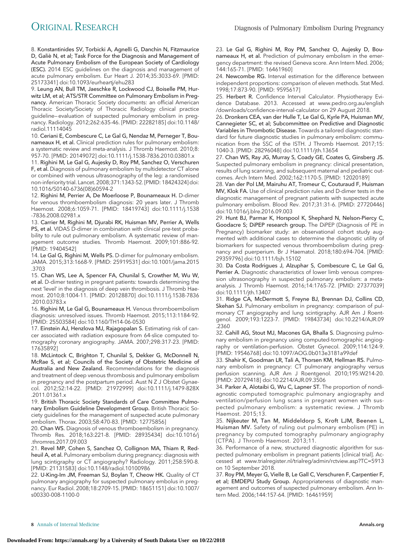8. Konstantinides SV, Torbicki A, Agnelli G, Danchin N, Fitzmaurice D, Galiè N, et al; Task Force for the Diagnosis and Management of Acute Pulmonary Embolism of the European Society of Cardiology (ESC). 2014 ESC guidelines on the diagnosis and management of acute pulmonary embolism. Eur Heart J. 2014;35:3033-69. [PMID: 25173341] doi:10.1093/eurheartj/ehu283

9. Leung AN, Bull TM, Jaeschke R, Lockwood CJ, Boiselle PM, Hurwitz LM, et al; ATS/STR Committee on Pulmonary Embolism in Pregnancy. American Thoracic Society documents: an official American Thoracic Society/Society of Thoracic Radiology clinical practice guideline—evaluation of suspected pulmonary embolism in pregnancy. Radiology. 2012;262:635-46. [PMID: 22282185] doi:10.1148/ radiol.11114045

10. Ceriani E, Combescure C, Le Gal G, Nendaz M, Perneger T, Bounameaux H, et al. Clinical prediction rules for pulmonary embolism: a systematic review and meta-analysis. J Thromb Haemost. 2010;8: 957-70. [PMID: 20149072] doi:10.1111/j.1538-7836.2010.03801.x

11. Righini M, Le Gal G, Aujesky D, Roy PM, Sanchez O, Verschuren F, et al. Diagnosis of pulmonary embolism by multidetector CT alone or combined with venous ultrasonography of the leg: a randomised non-inferiority trial. Lancet. 2008;371:1343-52. [PMID: 18424324] doi: 10.1016/S0140-6736(08)60594-2

12. Righini M, Perrier A, De Moerloose P, Bounameaux H. D-dimer for venous thromboembolism diagnosis: 20 years later. J Thromb Haemost. 2008;6:1059-71. [PMID: 18419743] doi:10.1111/j.1538 -7836.2008.02981.x

13. Carrier M, Righini M, Djurabi RK, Huisman MV, Perrier A, Wells PS, et al. VIDAS D-dimer in combination with clinical pre-test probability to rule out pulmonary embolism. A systematic review of management outcome studies. Thromb Haemost. 2009;101:886-92. [PMID: 19404542]

14. Le Gal G, Righini M, Wells PS. D-dimer for pulmonary embolism. JAMA. 2015;313:1668-9. [PMID: 25919531] doi:10.1001/jama.2015 .3703

15. Chan WS, Lee A, Spencer FA, Chunilal S, Crowther M, Wu W, et al. D-dimer testing in pregnant patients: towards determining the next 'level' in the diagnosis of deep vein thrombosis. J Thromb Haemost. 2010;8:1004-11. [PMID: 20128870] doi:10.1111/j.1538-7836 .2010.03783.x

16. Righini M, Le Gal G, Bounameaux H. Venous thromboembolism diagnosis: unresolved issues. Thromb Haemost. 2015;113:1184-92. [PMID: 25503584] doi:10.1160/TH14-06-0530

17. Einstein AJ, Henzlova MJ, Rajagopalan S. Estimating risk of cancer associated with radiation exposure from 64-slice computed tomography coronary angiography. JAMA. 2007;298:317-23. [PMID: 17635892]

18. McLintock C, Brighton T, Chunilal S, Dekker G, McDonnell N, McRae S, et al; Councils of the Society of Obstetric Medicine of Australia and New Zealand. Recommendations for the diagnosis and treatment of deep venous thrombosis and pulmonary embolism in pregnancy and the postpartum period. Aust N Z J Obstet Gynaecol. 2012;52:14-22. [PMID: 21972999] doi:10.1111/j.1479-828X .2011.01361.x

19. British Thoracic Society Standards of Care Committee Pulmonary Embolism Guideline Development Group. British Thoracic Society guidelines for the management of suspected acute pulmonary embolism. Thorax. 2003;58:470-83. [PMID: 12775856]

20. Chan WS. Diagnosis of venous thromboembolism in pregnancy. Thromb Res. 2018;163:221-8. [PMID: 28935434] doi:10.1016/j .thromres.2017.09.003

21. Revel MP, Cohen S, Sanchez O, Collignon MA, Thiam R, Redheuil A, et al. Pulmonary embolism during pregnancy: diagnosis with lung scintigraphy or CT angiography? Radiology. 2011;258:590-8. [PMID: 21131583] doi:10.1148/radiol.10100986

22. U-King-Im JM, Freeman SJ, Boylan T, Cheow HK. Quality of CT pulmonary angiography for suspected pulmonary embolus in pregnancy. Eur Radiol. 2008;18:2709-15. [PMID: 18651151] doi:10.1007/ s00330-008-1100-0

23. Le Gal G, Righini M, Roy PM, Sanchez O, Aujesky D, Bounameaux H, et al. Prediction of pulmonary embolism in the emergency department: the revised Geneva score. Ann Intern Med. 2006; 144:165-71. [PMID: 16461960]

24. Newcombe RG. Interval estimation for the difference between independent proportions: comparison of eleven methods. Stat Med. 1998;17:873-90. [PMID: 9595617]

25. Herbert R. Confidence Interval Calculator. Physiotherapy Evidence Database. 2013. Accessed at [www.pedro.org.au/english](http://www.pedro.org.au/english/downloads/confidence-interval-calculator) [/downloads/confidence-interval-calculator](http://www.pedro.org.au/english/downloads/confidence-interval-calculator) on 29 August 2018.

26. Dronkers CEA, van der Hulle T, Le Gal G, Kyrle PA, Huisman MV, Cannegieter SC, et al; Subcommittee on Predictive and Diagnostic Variables in Thrombotic Disease. Towards a tailored diagnostic standard for future diagnostic studies in pulmonary embolism: communication from the SSC of the ISTH. J Thromb Haemost. 2017;15: 1040-3. [PMID: 28296048] doi:10.1111/jth.13654

27. Chan WS, Ray JG, Murray S, Coady GE, Coates G, Ginsberg JS. Suspected pulmonary embolism in pregnancy: clinical presentation, results of lung scanning, and subsequent maternal and pediatric outcomes. Arch Intern Med. 2002;162:1170-5. [PMID: 12020189]

28. Van der Pol LM, Mairuhu AT, Tromeur C, Couturaud F, Huisman MV, Klok FA. Use of clinical prediction rules and D-dimer tests in the diagnostic management of pregnant patients with suspected acute pulmonary embolism. Blood Rev. 2017;31:31-6. [PMID: 27720446] doi:10.1016/j.blre.2016.09.003

29. Hunt BJ, Parmar K, Horspool K, Shephard N, Nelson-Piercy C, Goodacre S; DiPEP research group. The DiPEP (Diagnosis of PE in Pregnancy) biomarker study: an observational cohort study augmented with additional cases to determine the diagnostic utility of biomarkers for suspected venous thromboembolism during pregnancy and puerperium. Br J Haematol. 2018;180:694-704. [PMID: 29359796] doi:10.1111/bjh.15102

30. Da Costa Rodrigues J, Alzuphar S, Combescure C, Le Gal G, Perrier A. Diagnostic characteristics of lower limb venous compression ultrasonography in suspected pulmonary embolism: a metaanalysis. J Thromb Haemost. 2016;14:1765-72. [PMID: 27377039] doi:10.1111/jth.13407

31. Ridge CA, McDermott S, Freyne BJ, Brennan DJ, Collins CD, Skehan SJ. Pulmonary embolism in pregnancy: comparison of pulmonary CT angiography and lung scintigraphy. AJR Am J Roentgenol. 2009;193:1223-7. [PMID: 19843734] doi:10.2214/AJR.09 .2360

32. Cahill AG, Stout MJ, Macones GA, Bhalla S. Diagnosing pulmonary embolism in pregnancy using computed-tomographic angiography or ventilation-perfusion. Obstet Gynecol. 2009;114:124-9. [PMID: 19546768] doi:10.1097/AOG.0b013e3181a99def

33. Shahir K, Goodman LR, Tali A, Thorsen KM, Hellman RS. Pulmonary embolism in pregnancy: CT pulmonary angiography versus perfusion scanning. AJR Am J Roentgenol. 2010;195:W214-20. [PMID: 20729418] doi:10.2214/AJR.09.3506

34. Parker A, Alotaibi G, Wu C, Lapner ST. The proportion of nondiagnostic computed tomographic pulmonary angiography and ventilation/perfusion lung scans in pregnant women with suspected pulmonary embolism: a systematic review. J Thromb Haemost. 2015;13.

35. Nijkeuter M, Tan M, Middeldorp S, Kroft LJM, Beenen L, Huisman MV. Safety of ruling out pulmonary embolism (PE) in pregnancy by computed tomography pulmonary angiography (CTPA). J Thromb Haemost. 2013;11.

36. Performance of a new, structured diagnostic algorithm for suspected pulmonary embolism in pregnant patients [clinical trial]. Accessed at [www.trialregister.nl/trialreg/admin/rctview.asp?TC=5913](http://www.trialregister.nl/trialreg/admin/rctview.asp?TC=5913) on 10 September 2018.

37. Roy PM, Meyer G, Vielle B, Le Gall C, Verschuren F, Carpentier F, et al; EMDEPU Study Group. Appropriateness of diagnostic management and outcomes of suspected pulmonary embolism. Ann Intern Med. 2006;144:157-64. [PMID: 16461959]